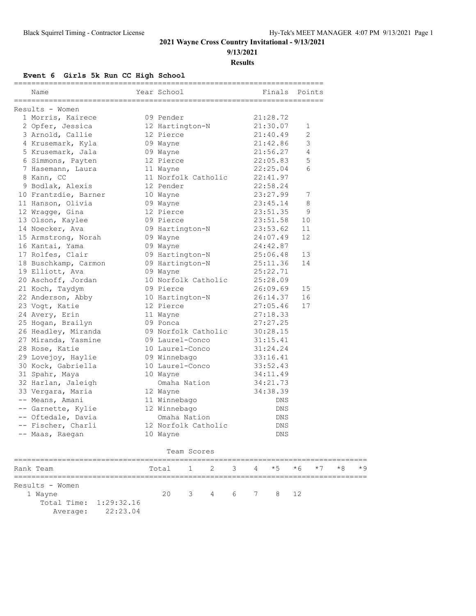#### **9/13/2021**

**Results**

#### **Event 6 Girls 5k Run CC High School**

| Name                         | Year School  |                 |                          |   |   | Finals Points |              |      |      |     |
|------------------------------|--------------|-----------------|--------------------------|---|---|---------------|--------------|------|------|-----|
| Results - Women              |              |                 |                          |   |   |               |              |      |      |     |
| 1 Morris, Kairece            | 09 Pender    |                 |                          |   |   | 21:28.72      |              |      |      |     |
| 2 Opfer, Jessica             |              | 12 Hartington-N |                          |   |   | 21:30.07      | 1            |      |      |     |
| 3 Arnold, Callie             | 12 Pierce    |                 |                          |   |   | 21:40.49      | $\mathbf{2}$ |      |      |     |
| 4 Krusemark, Kyla            | 09 Wayne     |                 |                          |   |   | 21:42.86      | 3            |      |      |     |
| 5 Krusemark, Jala            | 09 Wayne     |                 |                          |   |   | 21:56.27      | 4            |      |      |     |
| 6 Simmons, Payten            | 12 Pierce    |                 |                          |   |   | 22:05.83      | 5            |      |      |     |
| 7 Hasemann, Laura            | 11 Wayne     |                 |                          |   |   | 22:25.04      | 6            |      |      |     |
| 8 Kann, CC                   |              |                 | 11 Norfolk Catholic      |   |   | 22:41.97      |              |      |      |     |
| 9 Bodlak, Alexis             | 12 Pender    |                 |                          |   |   | 22:58.24      |              |      |      |     |
| 10 Frantzdie, Barner         | 10 Wayne     |                 |                          |   |   | 23:27.99      | 7            |      |      |     |
| 11 Hanson, Olivia            | 09 Wayne     |                 |                          |   |   | 23:45.14      | 8            |      |      |     |
| 12 Wragge, Gina              | 12 Pierce    |                 |                          |   |   | 23:51.35      | 9            |      |      |     |
| 13 Olson, Kaylee             | 09 Pierce    |                 |                          |   |   | 23:51.58      | 10           |      |      |     |
| 14 Noecker, Ava              |              | 09 Hartington-N |                          |   |   | 23:53.62      | 11           |      |      |     |
| 15 Armstrong, Norah          | 09 Wayne     |                 |                          |   |   | 24:07.49      | 12           |      |      |     |
| 16 Kantai, Yama              | 09 Wayne     |                 |                          |   |   | 24:42.87      |              |      |      |     |
| 17 Rolfes, Clair             |              |                 | 09 Hartington-N          |   |   | 25:06.48      | 13           |      |      |     |
| 18 Buschkamp, Carmon         |              |                 | 09 Hartington-N          |   |   | 25:11.36      | 14           |      |      |     |
| 19 Elliott, Ava              | 09 Wayne     |                 |                          |   |   | 25:22.71      |              |      |      |     |
| 20 Aschoff, Jordan           |              |                 | 10 Norfolk Catholic      |   |   | 25:28.09      |              |      |      |     |
| 21 Koch, Taydym              | 09 Pierce    |                 |                          |   |   | 26:09.69      | 15           |      |      |     |
| 22 Anderson, Abby            |              |                 | 10 Hartington-N          |   |   | 26:14.37      | 16           |      |      |     |
| 23 Vogt, Katie               | 12 Pierce    |                 |                          |   |   | 27:05.46      | 17           |      |      |     |
| 24 Avery, Erin               | 11 Wayne     |                 |                          |   |   | 27:18.33      |              |      |      |     |
| 25 Hogan, Brailyn            | 09 Ponca     |                 |                          |   |   | 27:27.25      |              |      |      |     |
| 26 Headley, Miranda          |              |                 | 09 Norfolk Catholic      |   |   | 30:28.15      |              |      |      |     |
| 27 Miranda, Yasmine          |              | 09 Laurel-Conco |                          |   |   | 31:15.41      |              |      |      |     |
| 28 Rose, Katie               |              |                 | 10 Laurel-Conco 31:24.24 |   |   |               |              |      |      |     |
| 29 Lovejoy, Haylie           | 09 Winnebago |                 |                          |   |   | 33:16.41      |              |      |      |     |
| 30 Kock, Gabriella           |              | 10 Laurel-Conco |                          |   |   | 33:52.43      |              |      |      |     |
| 31 Spahr, Maya               | 10 Wayne     |                 |                          |   |   | 34:11.49      |              |      |      |     |
| 32 Harlan, Jaleigh           |              | Omaha Nation    |                          |   |   | 34:21.73      |              |      |      |     |
| 33 Vergara, Maria            | 12 Wayne     |                 |                          |   |   | 34:38.39      |              |      |      |     |
| -- Means, Amani              | 11 Winnebago |                 |                          |   |   | DNS           |              |      |      |     |
| -- Garnette, Kylie           | 12 Winnebago |                 |                          |   |   | DNS           |              |      |      |     |
| -- Oftedale, Davia           |              | Omaha Nation    |                          |   |   | DNS           |              |      |      |     |
| -- Fischer, Charli           |              |                 | 12 Norfolk Catholic      |   |   | DNS           |              |      |      |     |
| -- Maas, Raegan              | 10 Wayne     |                 |                          |   |   | DNS           |              |      |      |     |
|                              |              | Team Scores     |                          |   |   |               |              |      |      |     |
| Rank Team<br>=============== | Total        | Τ               | 2                        | 3 | 4 | $*5$          | $*6$         | $*7$ | $*8$ | * 9 |
| Results - Women              |              |                 |                          |   |   |               |              |      |      |     |
| 1 Wayne                      | 20           | 3               | 4                        | 6 | 7 | 8             | 12           |      |      |     |

Total Time: 1:29:32.16

Average: 22:23.04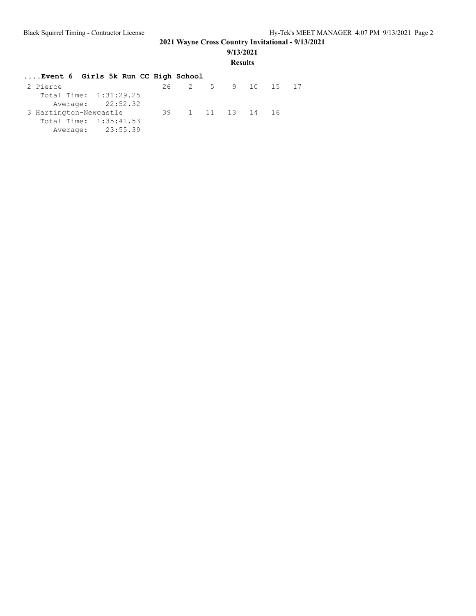#### **9/13/2021**

#### **Results**

| Total Time: 1:31:29.25<br>Average: 22:52.32<br>3 Hartington-Newcastle<br>Total Time: 1:35:41.53<br>Average: 23:55.39 |  | Event 6 Girls 5k Run CC High School |  | 26 2 5 9 10 15 17<br>39 1 11 13 14 16 |
|----------------------------------------------------------------------------------------------------------------------|--|-------------------------------------|--|---------------------------------------|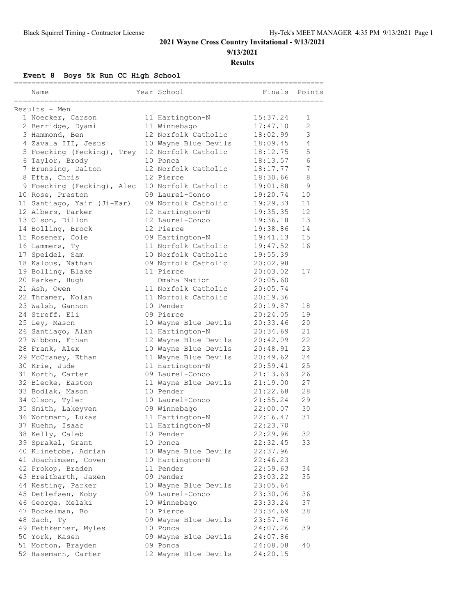**9/13/2021**

**Results**

**Event 8 Boys 5k Run CC High School**

| Name                                           | Year School                             | ------<br>Finals | Points        |
|------------------------------------------------|-----------------------------------------|------------------|---------------|
| =====================                          |                                         |                  |               |
| Results - Men                                  |                                         |                  |               |
| 1 Noecker, Carson                              | 11 Hartington-N                         | 15:37.24         | 1             |
| 2 Berridge, Dyami                              | 11 Winnebago                            | 17:47.10         | 2             |
| 3 Hammond, Ben                                 | 12 Norfolk Catholic                     | 18:02.99         | $\mathcal{S}$ |
| 4 Zavala III, Jesus                            | 10 Wayne Blue Devils                    | 18:09.45         | 4             |
| 5 Foecking (Fecking), Trey 12 Norfolk Catholic |                                         | 18:12.75         | 5             |
| 6 Taylor, Brody                                | 10 Ponca                                | 18:13.57         | 6             |
| 7 Brunsing, Dalton                             | 12 Norfolk Catholic                     | 18:17.77         | 7             |
| 8 Efta, Chris                                  | 12 Pierce                               | 18:30.66         | 8             |
| 9 Foecking (Fecking), Alec                     | 10 Norfolk Catholic                     | 19:01.88         | 9             |
| 10 Rose, Preston                               | 09 Laurel-Conco                         | 19:20.74         | 10            |
| 11 Santiago, Yair (Ji-Ear)                     | 09 Norfolk Catholic                     | 19:29.33         | 11            |
| 12 Albers, Parker                              | 12 Hartington-N                         | 19:35.35         | 12            |
| 13 Olson, Dillon                               | 12 Laurel-Conco                         | 19:36.18         | 13            |
| 14 Bolling, Brock                              | 12 Pierce                               | 19:38.86         | 14            |
| 15 Rosener, Cole                               | 09 Hartington-N                         | 19:41.13         | 15            |
| 16 Lammers, Ty                                 | 11 Norfolk Catholic                     | 19:47.52         | 16            |
| 17 Speidel, Sam                                | 10 Norfolk Catholic                     | 19:55.39         |               |
| 18 Kalous, Nathan                              | 09 Norfolk Catholic                     | 20:02.98         |               |
| 19 Bolling, Blake                              | 11 Pierce                               | 20:03.02         | 17            |
| 20 Parker, Hugh                                | Omaha Nation                            | 20:05.60         |               |
| 21 Ash, Owen                                   | 11 Norfolk Catholic                     | 20:05.74         |               |
| 22 Thramer, Nolan                              | 11 Norfolk Catholic                     | 20:19.36         |               |
| 23 Walsh, Gannon                               | 10 Pender                               | 20:19.87         | 18            |
| 24 Streff, Eli                                 | 09 Pierce                               | 20:24.05         | 19            |
| 25 Ley, Mason                                  | 10 Wayne Blue Devils                    | 20:33.46         | 20            |
| 26 Santiago, Alan                              | 11 Hartington-N                         | 20:34.69         | 21            |
| 27 Wibbon, Ethan                               | 12 Wayne Blue Devils                    | 20:42.09         | 22            |
| 28 Frank, Alex                                 | 10 Wayne Blue Devils                    | 20:48.91         | 23            |
| 29 McCraney, Ethan                             | 11 Wayne Blue Devils                    | 20:49.62         | 24            |
| 30 Krie, Jude                                  | 11 Hartington-N                         | 20:59.41         | 25            |
| 31 Korth, Carter                               | 09 Laurel-Conco                         | 21:13.63         | 26            |
| 32 Blecke, Easton                              | 11 Wayne Blue Devils                    | 21:19.00         | 27            |
| 33 Bodlak, Mason                               | 10 Pender                               | 21:22.68         | 28            |
| 34 Olson, Tyler                                | 10 Laurel-Conco                         | 21:55.24         | 29            |
| 35 Smith, Lakeyven                             | 09 Winnebago                            | 22:00.07         | 30            |
| 36 Wortmann, Lukas                             | 11 Hartington-N                         | 22:16.47         | 31            |
| 37 Kuehn, Isaac                                | 11 Hartington-N                         | 22:23.70         |               |
| 38 Kelly, Caleb                                | 10 Pender                               | 22:29.96         | 32            |
| 39 Sprakel, Grant                              | 10 Ponca                                | 22:32.45         | 33            |
| 40 Klinetobe, Adrian                           | 10 Wayne Blue Devils                    | 22:37.96         |               |
| 41 Joachimsen, Coven                           | 10 Hartington-N                         | 22:46.23         |               |
| 42 Prokop, Braden                              | 11 Pender                               | 22:59.63         | 34            |
| 43 Breitbarth, Jaxen                           | 09 Pender                               | 23:03.22         | 35            |
|                                                |                                         | 23:05.64         |               |
| 44 Kesting, Parker<br>45 Detlefsen, Koby       | 10 Wayne Blue Devils<br>09 Laurel-Conco | 23:30.06         | 36            |
|                                                | 10 Winnebago                            | 23:33.24         | 37            |
| 46 George, Melaki                              |                                         |                  |               |
| 47 Bockelman, Bo                               | 10 Pierce                               | 23:34.69         | 38            |
| 48 Zach, Ty                                    | 09 Wayne Blue Devils                    | 23:57.76         |               |
| 49 Fethkenher, Myles                           | 10 Ponca                                | 24:07.26         | 39            |
| 50 York, Kasen                                 | 09 Wayne Blue Devils                    | 24:07.86         |               |
| 51 Morton, Brayden                             | 09 Ponca                                | 24:08.08         | 40            |
| 52 Hasemann, Carter                            | 12 Wayne Blue Devils                    | 24:20.15         |               |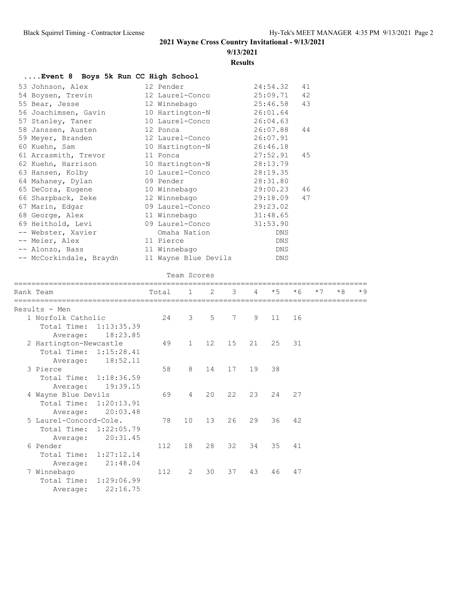## **9/13/2021**

**Results**

| Event 8 Boys 5k Run CC High School |                                             |                                                             |  |  |  |  |  |
|------------------------------------|---------------------------------------------|-------------------------------------------------------------|--|--|--|--|--|
| 53 Johnson, Alex                   | 12 Pender                                   | 24:54.32<br>41                                              |  |  |  |  |  |
| 54 Boysen, Trevin                  | 12 Laurel-Conco                             | 25:09.71<br>42                                              |  |  |  |  |  |
| 55 Bear, Jesse                     | 12 Winnebago                                | 25:46.58<br>43                                              |  |  |  |  |  |
| 56 Joachimsen, Gavin               | 10 Hartington-N                             | 26:01.64                                                    |  |  |  |  |  |
| 57 Stanley, Taner                  | 10 Laurel-Conco                             | 26:04.63                                                    |  |  |  |  |  |
| 58 Janssen, Austen                 | 12 Ponca                                    | 26:07.88<br>44                                              |  |  |  |  |  |
| 59 Meyer, Branden                  | 12 Laurel-Conco                             | 26:07.91                                                    |  |  |  |  |  |
| 60 Kuehn, Sam                      | 10 Hartington-N                             | 26:46.18                                                    |  |  |  |  |  |
| 61 Arrasmith, Trevor               | 11 Ponca                                    | 27:52.91<br>45                                              |  |  |  |  |  |
| 62 Kuehn, Harrison                 | 10 Hartington-N                             | 28:13.79                                                    |  |  |  |  |  |
| 63 Hansen, Kolby                   | 10 Laurel-Conco                             | 28:19.35                                                    |  |  |  |  |  |
| 64 Mahaney, Dylan                  | 09 Pender                                   | 28:31.80                                                    |  |  |  |  |  |
| 65 DeCora, Eugene                  | 10 Winnebago                                | 29:00.23 46                                                 |  |  |  |  |  |
| 66 Sharpback, Zeke 12 Winnebago    |                                             | 29:18.09<br>47                                              |  |  |  |  |  |
| 67 Marin, Edgar                    | 09 Laurel-Conco                             | 29:23.02                                                    |  |  |  |  |  |
| 68 George, Alex                    | 11 Winnebago                                | 31:48.65                                                    |  |  |  |  |  |
| 69 Heithold, Levi 69 Laurel-Conco  |                                             | 31:53.90                                                    |  |  |  |  |  |
| -- Webster, Xavier                 | Omaha Nation                                | <b>DNS</b>                                                  |  |  |  |  |  |
| -- Meier, Alex                     | 11 Pierce                                   | DNS                                                         |  |  |  |  |  |
| -- Alonzo, Bass                    | 11 Winnebago                                | DNS                                                         |  |  |  |  |  |
| -- McCorkindale, Braydn            | 11 Wayne Blue Devils                        | DNS                                                         |  |  |  |  |  |
|                                    | Team Scores                                 |                                                             |  |  |  |  |  |
| Rank Team                          | $\mathbf{1}$<br>$\mathcal{P}$<br>3<br>Total | $\star$ 5<br>$*7$<br>$*8$<br>$*9$<br>$\overline{4}$<br>$*6$ |  |  |  |  |  |
| Results - Men                      |                                             |                                                             |  |  |  |  |  |

| Results - Men          |                   |     |                |    |        |    |       |    |  |  |
|------------------------|-------------------|-----|----------------|----|--------|----|-------|----|--|--|
| 1 Norfolk Catholic     |                   | 24  | 3              | 5  | 7      | 9  | 11 16 |    |  |  |
| Total Time: 1:13:35.39 |                   |     |                |    |        |    |       |    |  |  |
| Average:               | 18:23.85          |     |                |    |        |    |       |    |  |  |
| 2 Hartington-Newcastle |                   | 49  | $\mathbf{1}$   | 12 | 15     | 21 | 25    | 31 |  |  |
| Total Time: 1:15:28.41 |                   |     |                |    |        |    |       |    |  |  |
|                        | Average: 18:52.11 |     |                |    |        |    |       |    |  |  |
| 3 Pierce               |                   | 58  | 8              | 14 | 17     | 19 | 38    |    |  |  |
| Total Time: 1:18:36.59 |                   |     |                |    |        |    |       |    |  |  |
| Average:               | 19:39.15          |     |                |    |        |    |       |    |  |  |
| 4 Wayne Blue Devils    |                   | 69  | $\overline{4}$ | 20 | 22     | 23 | 24    | 27 |  |  |
| Total Time: 1:20:13.91 |                   |     |                |    |        |    |       |    |  |  |
| Average:               | 20:03.48          |     |                |    |        |    |       |    |  |  |
| 5 Laurel-Concord-Cole. |                   | 78  | 10             | 13 | 26     | 29 | 36    | 42 |  |  |
| Total Time: 1:22:05.79 |                   |     |                |    |        |    |       |    |  |  |
| Average:               | 20:31.45          |     |                |    |        |    |       |    |  |  |
| 6 Pender               |                   | 112 | 18             | 28 | $32 -$ | 34 | 35    | 41 |  |  |
| Total Time: 1:27:12.14 |                   |     |                |    |        |    |       |    |  |  |
| Average:               | 21:48.04          |     |                |    |        |    |       |    |  |  |
| 7 Winnebago            |                   | 112 | $\mathcal{P}$  | 30 | 37     | 43 | 46    | 47 |  |  |
| Total Time: 1:29:06.99 |                   |     |                |    |        |    |       |    |  |  |
| Average:               | 22:16.75          |     |                |    |        |    |       |    |  |  |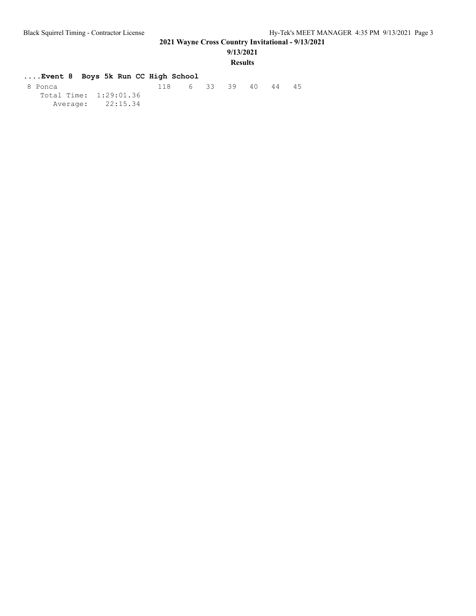**9/13/2021**

#### **Results**

| Event 8 Boys 5k Run CC High School |                        |                   |  |  |    |
|------------------------------------|------------------------|-------------------|--|--|----|
| 8 Ponca                            |                        | 118 6 33 39 40 44 |  |  | 45 |
|                                    | Total Time: 1:29:01.36 |                   |  |  |    |
|                                    | Average: 22:15.34      |                   |  |  |    |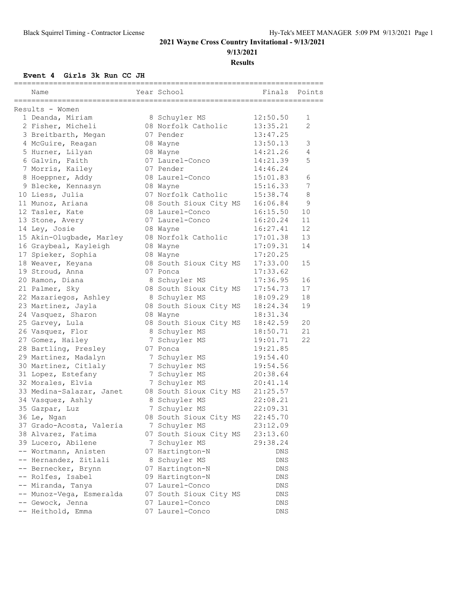**9/13/2021**

**Results**

#### **Event 4 Girls 3k Run CC JH**

| Year School<br>Finals<br>Points<br>Name<br>Results - Women<br>12:50.50<br>1 Deanda, Miriam<br>8 Schuyler MS<br>1<br>2 Fisher, Micheli<br>08 Norfolk Catholic<br>13:35.21<br>2<br>13:47.25<br>3 Breitbarth, Megan<br>07 Pender<br>4 McGuire, Reagan<br>13:50.13<br>3<br>08 Wayne<br>5 Hurner, Lilyan<br>14:21.26<br>08 Wayne<br>4<br>6 Galvin, Faith<br>07 Laurel-Conco<br>14:21.39<br>5<br>7 Morris, Kailey<br>07 Pender<br>14:46.24<br>8 Hoeppner, Addy<br>08 Laurel-Conco<br>15:01.83<br>6<br>7<br>9 Blecke, Kennasyn<br>15:16.33<br>08 Wayne<br>07 Norfolk Catholic<br>10 Liess, Julia<br>15:38.74<br>8<br>08 South Sioux City MS<br>16:06.84<br>9<br>11 Munoz, Ariana<br>10<br>12 Tasler, Kate<br>08 Laurel-Conco<br>16:15.50<br>11<br>13 Stone, Avery<br>07 Laurel-Conco<br>16:20.24<br>12<br>14 Ley, Josie<br>16:27.41<br>08 Wayne<br>13<br>15 Akin-Olugbade, Marley<br>08 Norfolk Catholic<br>17:01.38<br>16 Graybeal, Kayleigh<br>17:09.31<br>14<br>08 Wayne<br>17 Spieker, Sophia<br>17:20.25<br>08 Wayne<br>17:33.00<br>18 Weaver, Keyana<br>08 South Sioux City MS<br>15<br>17:33.62<br>19 Stroud, Anna<br>07 Ponca<br>20 Ramon, Diana<br>17:36.95<br>16<br>8 Schuyler MS<br>21 Palmer, Sky<br>08 South Sioux City MS<br>17<br>17:54.73<br>18<br>22 Mazariegos, Ashley<br>8 Schuyler MS<br>18:09.29<br>08 South Sioux City MS<br>23 Martinez, Jayla<br>18:24.34<br>19<br>24 Vasquez, Sharon<br>08 Wayne<br>18:31.34<br>08 South Sioux City MS<br>20<br>25 Garvey, Lula<br>18:42.59<br>21<br>26 Vasquez, Flor<br>8 Schuyler MS<br>18:50.71<br>27 Gomez, Hailey<br>22<br>7 Schuyler MS<br>19:01.71<br>28 Bartling, Presley<br>07 Ponca<br>19:21.85<br>29 Martinez, Madalyn<br>19:54.40<br>7 Schuyler MS<br>30 Martinez, Citlaly<br>7 Schuyler MS<br>19:54.56<br>7 Schuyler MS<br>31 Lopez, Estefany<br>20:38.64<br>32 Morales, Elvia<br>7 Schuyler MS<br>20:41.14<br>33 Medina-Salazar, Janet<br>08 South Sioux City MS<br>21:25.57<br>34 Vasquez, Ashly<br>8 Schuyler MS<br>22:08.21<br>7 Schuyler MS<br>35 Gazpar, Luz<br>22:09.31<br>08 South Sioux City MS<br>22:45.70<br>36 Le, Ngan<br>37 Grado-Acosta, Valeria<br>23:12.09<br>7 Schuyler MS<br>23:13.60<br>38 Alvarez, Fatima<br>07 South Sioux City MS<br>39 Lucero, Abilene<br>7 Schuyler MS<br>29:38.24<br>-- Wortmann, Anisten<br>07 Hartington-N<br>DNS<br>-- Hernandez, Zitlali<br>8 Schuyler MS<br>DNS<br>07 Hartington-N<br>-- Bernecker, Brynn<br>DNS<br>-- Rolfes, Isabel<br>09 Hartington-N<br>DNS<br>07 Laurel-Conco<br>-- Miranda, Tanya<br>DNS<br>-- Munoz-Vega, Esmeralda<br>07 South Sioux City MS<br>DNS<br>-- Gewock, Jenna |  |                 |     |  |
|---------------------------------------------------------------------------------------------------------------------------------------------------------------------------------------------------------------------------------------------------------------------------------------------------------------------------------------------------------------------------------------------------------------------------------------------------------------------------------------------------------------------------------------------------------------------------------------------------------------------------------------------------------------------------------------------------------------------------------------------------------------------------------------------------------------------------------------------------------------------------------------------------------------------------------------------------------------------------------------------------------------------------------------------------------------------------------------------------------------------------------------------------------------------------------------------------------------------------------------------------------------------------------------------------------------------------------------------------------------------------------------------------------------------------------------------------------------------------------------------------------------------------------------------------------------------------------------------------------------------------------------------------------------------------------------------------------------------------------------------------------------------------------------------------------------------------------------------------------------------------------------------------------------------------------------------------------------------------------------------------------------------------------------------------------------------------------------------------------------------------------------------------------------------------------------------------------------------------------------------------------------------------------------------------------------------------------------------------------------------------------------------------------------------------------------------------------------------------------------------------------------------------------------------------------------------------------------------------------------|--|-----------------|-----|--|
|                                                                                                                                                                                                                                                                                                                                                                                                                                                                                                                                                                                                                                                                                                                                                                                                                                                                                                                                                                                                                                                                                                                                                                                                                                                                                                                                                                                                                                                                                                                                                                                                                                                                                                                                                                                                                                                                                                                                                                                                                                                                                                                                                                                                                                                                                                                                                                                                                                                                                                                                                                                                               |  |                 |     |  |
|                                                                                                                                                                                                                                                                                                                                                                                                                                                                                                                                                                                                                                                                                                                                                                                                                                                                                                                                                                                                                                                                                                                                                                                                                                                                                                                                                                                                                                                                                                                                                                                                                                                                                                                                                                                                                                                                                                                                                                                                                                                                                                                                                                                                                                                                                                                                                                                                                                                                                                                                                                                                               |  |                 |     |  |
|                                                                                                                                                                                                                                                                                                                                                                                                                                                                                                                                                                                                                                                                                                                                                                                                                                                                                                                                                                                                                                                                                                                                                                                                                                                                                                                                                                                                                                                                                                                                                                                                                                                                                                                                                                                                                                                                                                                                                                                                                                                                                                                                                                                                                                                                                                                                                                                                                                                                                                                                                                                                               |  |                 |     |  |
|                                                                                                                                                                                                                                                                                                                                                                                                                                                                                                                                                                                                                                                                                                                                                                                                                                                                                                                                                                                                                                                                                                                                                                                                                                                                                                                                                                                                                                                                                                                                                                                                                                                                                                                                                                                                                                                                                                                                                                                                                                                                                                                                                                                                                                                                                                                                                                                                                                                                                                                                                                                                               |  |                 |     |  |
|                                                                                                                                                                                                                                                                                                                                                                                                                                                                                                                                                                                                                                                                                                                                                                                                                                                                                                                                                                                                                                                                                                                                                                                                                                                                                                                                                                                                                                                                                                                                                                                                                                                                                                                                                                                                                                                                                                                                                                                                                                                                                                                                                                                                                                                                                                                                                                                                                                                                                                                                                                                                               |  |                 |     |  |
|                                                                                                                                                                                                                                                                                                                                                                                                                                                                                                                                                                                                                                                                                                                                                                                                                                                                                                                                                                                                                                                                                                                                                                                                                                                                                                                                                                                                                                                                                                                                                                                                                                                                                                                                                                                                                                                                                                                                                                                                                                                                                                                                                                                                                                                                                                                                                                                                                                                                                                                                                                                                               |  |                 |     |  |
|                                                                                                                                                                                                                                                                                                                                                                                                                                                                                                                                                                                                                                                                                                                                                                                                                                                                                                                                                                                                                                                                                                                                                                                                                                                                                                                                                                                                                                                                                                                                                                                                                                                                                                                                                                                                                                                                                                                                                                                                                                                                                                                                                                                                                                                                                                                                                                                                                                                                                                                                                                                                               |  |                 |     |  |
|                                                                                                                                                                                                                                                                                                                                                                                                                                                                                                                                                                                                                                                                                                                                                                                                                                                                                                                                                                                                                                                                                                                                                                                                                                                                                                                                                                                                                                                                                                                                                                                                                                                                                                                                                                                                                                                                                                                                                                                                                                                                                                                                                                                                                                                                                                                                                                                                                                                                                                                                                                                                               |  |                 |     |  |
|                                                                                                                                                                                                                                                                                                                                                                                                                                                                                                                                                                                                                                                                                                                                                                                                                                                                                                                                                                                                                                                                                                                                                                                                                                                                                                                                                                                                                                                                                                                                                                                                                                                                                                                                                                                                                                                                                                                                                                                                                                                                                                                                                                                                                                                                                                                                                                                                                                                                                                                                                                                                               |  |                 |     |  |
|                                                                                                                                                                                                                                                                                                                                                                                                                                                                                                                                                                                                                                                                                                                                                                                                                                                                                                                                                                                                                                                                                                                                                                                                                                                                                                                                                                                                                                                                                                                                                                                                                                                                                                                                                                                                                                                                                                                                                                                                                                                                                                                                                                                                                                                                                                                                                                                                                                                                                                                                                                                                               |  |                 |     |  |
|                                                                                                                                                                                                                                                                                                                                                                                                                                                                                                                                                                                                                                                                                                                                                                                                                                                                                                                                                                                                                                                                                                                                                                                                                                                                                                                                                                                                                                                                                                                                                                                                                                                                                                                                                                                                                                                                                                                                                                                                                                                                                                                                                                                                                                                                                                                                                                                                                                                                                                                                                                                                               |  |                 |     |  |
|                                                                                                                                                                                                                                                                                                                                                                                                                                                                                                                                                                                                                                                                                                                                                                                                                                                                                                                                                                                                                                                                                                                                                                                                                                                                                                                                                                                                                                                                                                                                                                                                                                                                                                                                                                                                                                                                                                                                                                                                                                                                                                                                                                                                                                                                                                                                                                                                                                                                                                                                                                                                               |  |                 |     |  |
|                                                                                                                                                                                                                                                                                                                                                                                                                                                                                                                                                                                                                                                                                                                                                                                                                                                                                                                                                                                                                                                                                                                                                                                                                                                                                                                                                                                                                                                                                                                                                                                                                                                                                                                                                                                                                                                                                                                                                                                                                                                                                                                                                                                                                                                                                                                                                                                                                                                                                                                                                                                                               |  |                 |     |  |
|                                                                                                                                                                                                                                                                                                                                                                                                                                                                                                                                                                                                                                                                                                                                                                                                                                                                                                                                                                                                                                                                                                                                                                                                                                                                                                                                                                                                                                                                                                                                                                                                                                                                                                                                                                                                                                                                                                                                                                                                                                                                                                                                                                                                                                                                                                                                                                                                                                                                                                                                                                                                               |  |                 |     |  |
|                                                                                                                                                                                                                                                                                                                                                                                                                                                                                                                                                                                                                                                                                                                                                                                                                                                                                                                                                                                                                                                                                                                                                                                                                                                                                                                                                                                                                                                                                                                                                                                                                                                                                                                                                                                                                                                                                                                                                                                                                                                                                                                                                                                                                                                                                                                                                                                                                                                                                                                                                                                                               |  |                 |     |  |
|                                                                                                                                                                                                                                                                                                                                                                                                                                                                                                                                                                                                                                                                                                                                                                                                                                                                                                                                                                                                                                                                                                                                                                                                                                                                                                                                                                                                                                                                                                                                                                                                                                                                                                                                                                                                                                                                                                                                                                                                                                                                                                                                                                                                                                                                                                                                                                                                                                                                                                                                                                                                               |  |                 |     |  |
|                                                                                                                                                                                                                                                                                                                                                                                                                                                                                                                                                                                                                                                                                                                                                                                                                                                                                                                                                                                                                                                                                                                                                                                                                                                                                                                                                                                                                                                                                                                                                                                                                                                                                                                                                                                                                                                                                                                                                                                                                                                                                                                                                                                                                                                                                                                                                                                                                                                                                                                                                                                                               |  |                 |     |  |
|                                                                                                                                                                                                                                                                                                                                                                                                                                                                                                                                                                                                                                                                                                                                                                                                                                                                                                                                                                                                                                                                                                                                                                                                                                                                                                                                                                                                                                                                                                                                                                                                                                                                                                                                                                                                                                                                                                                                                                                                                                                                                                                                                                                                                                                                                                                                                                                                                                                                                                                                                                                                               |  |                 |     |  |
|                                                                                                                                                                                                                                                                                                                                                                                                                                                                                                                                                                                                                                                                                                                                                                                                                                                                                                                                                                                                                                                                                                                                                                                                                                                                                                                                                                                                                                                                                                                                                                                                                                                                                                                                                                                                                                                                                                                                                                                                                                                                                                                                                                                                                                                                                                                                                                                                                                                                                                                                                                                                               |  |                 |     |  |
|                                                                                                                                                                                                                                                                                                                                                                                                                                                                                                                                                                                                                                                                                                                                                                                                                                                                                                                                                                                                                                                                                                                                                                                                                                                                                                                                                                                                                                                                                                                                                                                                                                                                                                                                                                                                                                                                                                                                                                                                                                                                                                                                                                                                                                                                                                                                                                                                                                                                                                                                                                                                               |  |                 |     |  |
|                                                                                                                                                                                                                                                                                                                                                                                                                                                                                                                                                                                                                                                                                                                                                                                                                                                                                                                                                                                                                                                                                                                                                                                                                                                                                                                                                                                                                                                                                                                                                                                                                                                                                                                                                                                                                                                                                                                                                                                                                                                                                                                                                                                                                                                                                                                                                                                                                                                                                                                                                                                                               |  |                 |     |  |
|                                                                                                                                                                                                                                                                                                                                                                                                                                                                                                                                                                                                                                                                                                                                                                                                                                                                                                                                                                                                                                                                                                                                                                                                                                                                                                                                                                                                                                                                                                                                                                                                                                                                                                                                                                                                                                                                                                                                                                                                                                                                                                                                                                                                                                                                                                                                                                                                                                                                                                                                                                                                               |  |                 |     |  |
|                                                                                                                                                                                                                                                                                                                                                                                                                                                                                                                                                                                                                                                                                                                                                                                                                                                                                                                                                                                                                                                                                                                                                                                                                                                                                                                                                                                                                                                                                                                                                                                                                                                                                                                                                                                                                                                                                                                                                                                                                                                                                                                                                                                                                                                                                                                                                                                                                                                                                                                                                                                                               |  |                 |     |  |
|                                                                                                                                                                                                                                                                                                                                                                                                                                                                                                                                                                                                                                                                                                                                                                                                                                                                                                                                                                                                                                                                                                                                                                                                                                                                                                                                                                                                                                                                                                                                                                                                                                                                                                                                                                                                                                                                                                                                                                                                                                                                                                                                                                                                                                                                                                                                                                                                                                                                                                                                                                                                               |  |                 |     |  |
|                                                                                                                                                                                                                                                                                                                                                                                                                                                                                                                                                                                                                                                                                                                                                                                                                                                                                                                                                                                                                                                                                                                                                                                                                                                                                                                                                                                                                                                                                                                                                                                                                                                                                                                                                                                                                                                                                                                                                                                                                                                                                                                                                                                                                                                                                                                                                                                                                                                                                                                                                                                                               |  |                 |     |  |
|                                                                                                                                                                                                                                                                                                                                                                                                                                                                                                                                                                                                                                                                                                                                                                                                                                                                                                                                                                                                                                                                                                                                                                                                                                                                                                                                                                                                                                                                                                                                                                                                                                                                                                                                                                                                                                                                                                                                                                                                                                                                                                                                                                                                                                                                                                                                                                                                                                                                                                                                                                                                               |  |                 |     |  |
|                                                                                                                                                                                                                                                                                                                                                                                                                                                                                                                                                                                                                                                                                                                                                                                                                                                                                                                                                                                                                                                                                                                                                                                                                                                                                                                                                                                                                                                                                                                                                                                                                                                                                                                                                                                                                                                                                                                                                                                                                                                                                                                                                                                                                                                                                                                                                                                                                                                                                                                                                                                                               |  |                 |     |  |
|                                                                                                                                                                                                                                                                                                                                                                                                                                                                                                                                                                                                                                                                                                                                                                                                                                                                                                                                                                                                                                                                                                                                                                                                                                                                                                                                                                                                                                                                                                                                                                                                                                                                                                                                                                                                                                                                                                                                                                                                                                                                                                                                                                                                                                                                                                                                                                                                                                                                                                                                                                                                               |  |                 |     |  |
|                                                                                                                                                                                                                                                                                                                                                                                                                                                                                                                                                                                                                                                                                                                                                                                                                                                                                                                                                                                                                                                                                                                                                                                                                                                                                                                                                                                                                                                                                                                                                                                                                                                                                                                                                                                                                                                                                                                                                                                                                                                                                                                                                                                                                                                                                                                                                                                                                                                                                                                                                                                                               |  |                 |     |  |
|                                                                                                                                                                                                                                                                                                                                                                                                                                                                                                                                                                                                                                                                                                                                                                                                                                                                                                                                                                                                                                                                                                                                                                                                                                                                                                                                                                                                                                                                                                                                                                                                                                                                                                                                                                                                                                                                                                                                                                                                                                                                                                                                                                                                                                                                                                                                                                                                                                                                                                                                                                                                               |  |                 |     |  |
|                                                                                                                                                                                                                                                                                                                                                                                                                                                                                                                                                                                                                                                                                                                                                                                                                                                                                                                                                                                                                                                                                                                                                                                                                                                                                                                                                                                                                                                                                                                                                                                                                                                                                                                                                                                                                                                                                                                                                                                                                                                                                                                                                                                                                                                                                                                                                                                                                                                                                                                                                                                                               |  |                 |     |  |
|                                                                                                                                                                                                                                                                                                                                                                                                                                                                                                                                                                                                                                                                                                                                                                                                                                                                                                                                                                                                                                                                                                                                                                                                                                                                                                                                                                                                                                                                                                                                                                                                                                                                                                                                                                                                                                                                                                                                                                                                                                                                                                                                                                                                                                                                                                                                                                                                                                                                                                                                                                                                               |  |                 |     |  |
|                                                                                                                                                                                                                                                                                                                                                                                                                                                                                                                                                                                                                                                                                                                                                                                                                                                                                                                                                                                                                                                                                                                                                                                                                                                                                                                                                                                                                                                                                                                                                                                                                                                                                                                                                                                                                                                                                                                                                                                                                                                                                                                                                                                                                                                                                                                                                                                                                                                                                                                                                                                                               |  |                 |     |  |
|                                                                                                                                                                                                                                                                                                                                                                                                                                                                                                                                                                                                                                                                                                                                                                                                                                                                                                                                                                                                                                                                                                                                                                                                                                                                                                                                                                                                                                                                                                                                                                                                                                                                                                                                                                                                                                                                                                                                                                                                                                                                                                                                                                                                                                                                                                                                                                                                                                                                                                                                                                                                               |  |                 |     |  |
|                                                                                                                                                                                                                                                                                                                                                                                                                                                                                                                                                                                                                                                                                                                                                                                                                                                                                                                                                                                                                                                                                                                                                                                                                                                                                                                                                                                                                                                                                                                                                                                                                                                                                                                                                                                                                                                                                                                                                                                                                                                                                                                                                                                                                                                                                                                                                                                                                                                                                                                                                                                                               |  |                 |     |  |
|                                                                                                                                                                                                                                                                                                                                                                                                                                                                                                                                                                                                                                                                                                                                                                                                                                                                                                                                                                                                                                                                                                                                                                                                                                                                                                                                                                                                                                                                                                                                                                                                                                                                                                                                                                                                                                                                                                                                                                                                                                                                                                                                                                                                                                                                                                                                                                                                                                                                                                                                                                                                               |  |                 |     |  |
|                                                                                                                                                                                                                                                                                                                                                                                                                                                                                                                                                                                                                                                                                                                                                                                                                                                                                                                                                                                                                                                                                                                                                                                                                                                                                                                                                                                                                                                                                                                                                                                                                                                                                                                                                                                                                                                                                                                                                                                                                                                                                                                                                                                                                                                                                                                                                                                                                                                                                                                                                                                                               |  |                 |     |  |
|                                                                                                                                                                                                                                                                                                                                                                                                                                                                                                                                                                                                                                                                                                                                                                                                                                                                                                                                                                                                                                                                                                                                                                                                                                                                                                                                                                                                                                                                                                                                                                                                                                                                                                                                                                                                                                                                                                                                                                                                                                                                                                                                                                                                                                                                                                                                                                                                                                                                                                                                                                                                               |  |                 |     |  |
|                                                                                                                                                                                                                                                                                                                                                                                                                                                                                                                                                                                                                                                                                                                                                                                                                                                                                                                                                                                                                                                                                                                                                                                                                                                                                                                                                                                                                                                                                                                                                                                                                                                                                                                                                                                                                                                                                                                                                                                                                                                                                                                                                                                                                                                                                                                                                                                                                                                                                                                                                                                                               |  |                 |     |  |
|                                                                                                                                                                                                                                                                                                                                                                                                                                                                                                                                                                                                                                                                                                                                                                                                                                                                                                                                                                                                                                                                                                                                                                                                                                                                                                                                                                                                                                                                                                                                                                                                                                                                                                                                                                                                                                                                                                                                                                                                                                                                                                                                                                                                                                                                                                                                                                                                                                                                                                                                                                                                               |  |                 |     |  |
|                                                                                                                                                                                                                                                                                                                                                                                                                                                                                                                                                                                                                                                                                                                                                                                                                                                                                                                                                                                                                                                                                                                                                                                                                                                                                                                                                                                                                                                                                                                                                                                                                                                                                                                                                                                                                                                                                                                                                                                                                                                                                                                                                                                                                                                                                                                                                                                                                                                                                                                                                                                                               |  |                 |     |  |
|                                                                                                                                                                                                                                                                                                                                                                                                                                                                                                                                                                                                                                                                                                                                                                                                                                                                                                                                                                                                                                                                                                                                                                                                                                                                                                                                                                                                                                                                                                                                                                                                                                                                                                                                                                                                                                                                                                                                                                                                                                                                                                                                                                                                                                                                                                                                                                                                                                                                                                                                                                                                               |  |                 |     |  |
|                                                                                                                                                                                                                                                                                                                                                                                                                                                                                                                                                                                                                                                                                                                                                                                                                                                                                                                                                                                                                                                                                                                                                                                                                                                                                                                                                                                                                                                                                                                                                                                                                                                                                                                                                                                                                                                                                                                                                                                                                                                                                                                                                                                                                                                                                                                                                                                                                                                                                                                                                                                                               |  |                 |     |  |
|                                                                                                                                                                                                                                                                                                                                                                                                                                                                                                                                                                                                                                                                                                                                                                                                                                                                                                                                                                                                                                                                                                                                                                                                                                                                                                                                                                                                                                                                                                                                                                                                                                                                                                                                                                                                                                                                                                                                                                                                                                                                                                                                                                                                                                                                                                                                                                                                                                                                                                                                                                                                               |  |                 |     |  |
|                                                                                                                                                                                                                                                                                                                                                                                                                                                                                                                                                                                                                                                                                                                                                                                                                                                                                                                                                                                                                                                                                                                                                                                                                                                                                                                                                                                                                                                                                                                                                                                                                                                                                                                                                                                                                                                                                                                                                                                                                                                                                                                                                                                                                                                                                                                                                                                                                                                                                                                                                                                                               |  |                 |     |  |
|                                                                                                                                                                                                                                                                                                                                                                                                                                                                                                                                                                                                                                                                                                                                                                                                                                                                                                                                                                                                                                                                                                                                                                                                                                                                                                                                                                                                                                                                                                                                                                                                                                                                                                                                                                                                                                                                                                                                                                                                                                                                                                                                                                                                                                                                                                                                                                                                                                                                                                                                                                                                               |  |                 |     |  |
|                                                                                                                                                                                                                                                                                                                                                                                                                                                                                                                                                                                                                                                                                                                                                                                                                                                                                                                                                                                                                                                                                                                                                                                                                                                                                                                                                                                                                                                                                                                                                                                                                                                                                                                                                                                                                                                                                                                                                                                                                                                                                                                                                                                                                                                                                                                                                                                                                                                                                                                                                                                                               |  |                 |     |  |
|                                                                                                                                                                                                                                                                                                                                                                                                                                                                                                                                                                                                                                                                                                                                                                                                                                                                                                                                                                                                                                                                                                                                                                                                                                                                                                                                                                                                                                                                                                                                                                                                                                                                                                                                                                                                                                                                                                                                                                                                                                                                                                                                                                                                                                                                                                                                                                                                                                                                                                                                                                                                               |  |                 |     |  |
|                                                                                                                                                                                                                                                                                                                                                                                                                                                                                                                                                                                                                                                                                                                                                                                                                                                                                                                                                                                                                                                                                                                                                                                                                                                                                                                                                                                                                                                                                                                                                                                                                                                                                                                                                                                                                                                                                                                                                                                                                                                                                                                                                                                                                                                                                                                                                                                                                                                                                                                                                                                                               |  | 07 Laurel-Conco | DNS |  |
| -- Heithold, Emma<br>07 Laurel-Conco<br>DNS                                                                                                                                                                                                                                                                                                                                                                                                                                                                                                                                                                                                                                                                                                                                                                                                                                                                                                                                                                                                                                                                                                                                                                                                                                                                                                                                                                                                                                                                                                                                                                                                                                                                                                                                                                                                                                                                                                                                                                                                                                                                                                                                                                                                                                                                                                                                                                                                                                                                                                                                                                   |  |                 |     |  |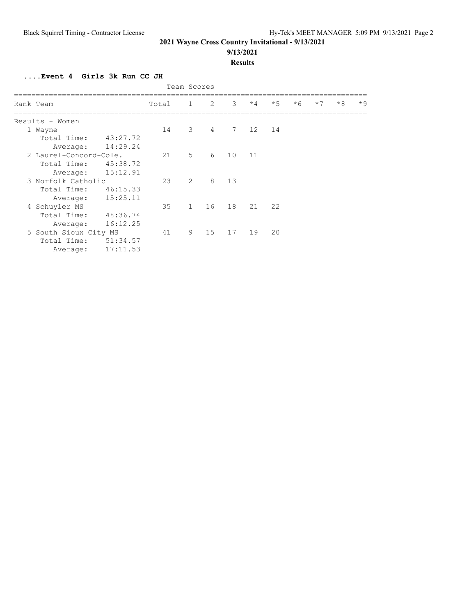#### **9/13/2021**

#### **Results**

**....Event 4 Girls 3k Run CC JH**

| Team Scores            |                    |       |                |                |                 |      |      |      |      |      |      |
|------------------------|--------------------|-------|----------------|----------------|-----------------|------|------|------|------|------|------|
| Rank Team              |                    | Total | $\mathbf{1}$   | 2              | 3               | $*4$ | $*5$ | $*6$ | $*7$ | $*8$ | $*9$ |
| Results - Women        |                    |       |                |                |                 |      |      |      |      |      |      |
| 1 Wayne                |                    | 14    | 3              | $\overline{4}$ | $7\phantom{.0}$ | 12   | 14   |      |      |      |      |
| Total Time:            | 43:27.72           |       |                |                |                 |      |      |      |      |      |      |
| Average:               | 14:29.24           |       |                |                |                 |      |      |      |      |      |      |
| 2 Laurel-Concord-Cole. |                    | 21    | 5              | 6              | 10              | 11   |      |      |      |      |      |
| Total Time:            | 45:38.72           |       |                |                |                 |      |      |      |      |      |      |
| Average:               | 15:12.91           |       |                |                |                 |      |      |      |      |      |      |
|                        | 3 Norfolk Catholic |       | $\overline{2}$ | 8              | 13              |      |      |      |      |      |      |
| Total Time:            | 46:15.33           |       |                |                |                 |      |      |      |      |      |      |
| Average:               | 15:25.11           |       |                |                |                 |      |      |      |      |      |      |
| 4 Schuyler MS          |                    | 35    | $\mathbf{1}$   | 16             | 18              | 21   | 22   |      |      |      |      |
| Total Time:            | 48:36.74           |       |                |                |                 |      |      |      |      |      |      |
| Average:               | 16:12.25           |       |                |                |                 |      |      |      |      |      |      |
| 5 South Sioux City MS  |                    | 41    | 9              | 15             | 17              | 19   | 20   |      |      |      |      |
| Total Time:            | 51:34.57           |       |                |                |                 |      |      |      |      |      |      |
| Average:               | 17:11.53           |       |                |                |                 |      |      |      |      |      |      |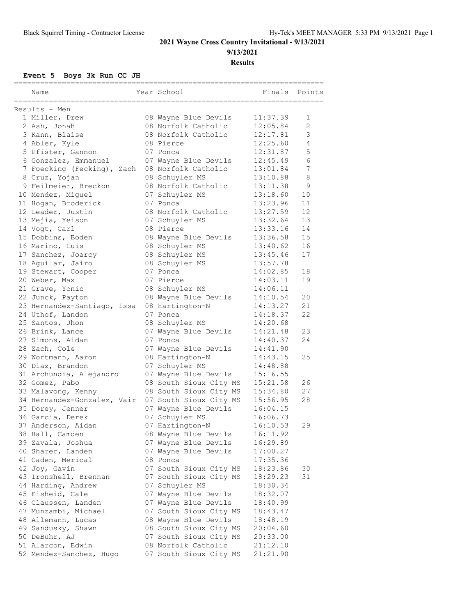**9/13/2021**

**Results**

#### **Event 5 Boys 3k Run CC JH**

|                             | ======================= |          |                 |
|-----------------------------|-------------------------|----------|-----------------|
| Name                        | Year School             | Finals   | Points          |
| Results - Men               |                         |          |                 |
| 1 Miller, Drew              | 08 Wayne Blue Devils    | 11:37.39 | 1               |
| 2 Ash, Jonah                | 08 Norfolk Catholic     | 12:05.84 | 2               |
| 3 Kann, Blaise              | 08 Norfolk Catholic     | 12:17.81 | 3               |
| 4 Abler, Kyle               | 08 Pierce               | 12:25.60 | 4               |
| 5 Pfister, Gannon           | 07 Ponca                | 12:31.87 | 5               |
| 6 Gonzalez, Emmanuel        | 07 Wayne Blue Devils    | 12:45.49 | 6               |
| 7 Foecking (Fecking), Zach  | 08 Norfolk Catholic     | 13:01.84 | $7\phantom{.0}$ |
| 8 Cruz, Yojan               | 08 Schuyler MS          | 13:10.88 | 8               |
| 9 Feilmeier, Breckon        | 08 Norfolk Catholic     | 13:11.38 | 9               |
| 10 Mendez, Miguel           | 07 Schuyler MS          | 13:18.60 | 10              |
| 11 Hogan, Broderick         | 07 Ponca                | 13:23.96 | 11              |
| 12 Leader, Justin           | 08 Norfolk Catholic     | 13:27.59 | 12              |
| 13 Mejia, Yeison            | 07 Schuyler MS          | 13:32.64 | 13              |
| 14 Vogt, Carl               | 08 Pierce               | 13:33.16 | 14              |
| 15 Dobbins, Boden           | 08 Wayne Blue Devils    | 13:36.58 | 15              |
| 16 Marino, Luis             | 08 Schuyler MS          | 13:40.62 | 16              |
| 17 Sanchez, Joarcy          | 08 Schuyler MS          | 13:45.46 | 17              |
| 18 Aguilar, Jairo           | 08 Schuyler MS          | 13:57.78 |                 |
| 19 Stewart, Cooper          | 07 Ponca                | 14:02.85 | 18              |
| 20 Weber, Max               | 07 Pierce               | 14:03.11 | 19              |
| 21 Grave, Yonic             | 08 Schuyler MS          | 14:06.11 |                 |
| 22 Junck, Payton            | 08 Wayne Blue Devils    | 14:10.54 | 20              |
| 23 Hernandez-Santiago, Issa | 08 Hartington-N         | 14:13.27 | 21              |
| 24 Uthof, Landon            | 07 Ponca                | 14:18.37 | 22              |
| 25 Santos, Jhon             | 08 Schuyler MS          | 14:20.68 |                 |
| 26 Brink, Lance             | 07 Wayne Blue Devils    | 14:21.48 | 23              |
| 27 Simons, Aidan            | 07 Ponca                | 14:40.37 | 24              |
| 28 Zach, Cole               | 07 Wayne Blue Devils    | 14:41.90 |                 |
| 29 Wortmann, Aaron          | 08 Hartington-N         | 14:43.15 | 25              |
| 30 Diaz, Brandon            | 07 Schuyler MS          | 14:48.88 |                 |
| 31 Archundia, Alejandro     | 07 Wayne Blue Devils    | 15:16.55 |                 |
| 32 Gomez, Pabo              | 08 South Sioux City MS  | 15:21.58 | 26              |
| 33 Malavong, Kenny          | 08 South Sioux City MS  | 15:34.80 | 27              |
| 34 Hernandez-Gonzalez, Vair | 07 South Sioux City MS  | 15:56.95 | 28              |
| 35 Dorey, Jenner            | 07 Wayne Blue Devils    | 16:04.15 |                 |
| 36 Garcia, Derek            | 07 Schuyler MS          | 16:06.73 |                 |
| 37 Anderson, Aidan          | 07 Hartington-N         | 16:10.53 | 29              |
| 38 Hall, Camden             | 08 Wayne Blue Devils    | 16:11.92 |                 |
| 39 Zavala, Joshua           | 07 Wayne Blue Devils    | 16:29.89 |                 |
| 40 Sharer, Landen           | 07 Wayne Blue Devils    | 17:00.27 |                 |
| 41 Caden, Merical           | 08 Ponca                | 17:35.36 |                 |
| 42 Joy, Gavin               | 07 South Sioux City MS  | 18:23.86 | 30              |
| 43 Ironshell, Brennan       | 07 South Sioux City MS  | 18:29.23 | 31              |
| 44 Harding, Andrew          | 07 Schuyler MS          | 18:30.34 |                 |
| 45 Eisheid, Cale            | 07 Wayne Blue Devils    | 18:32.07 |                 |
| 46 Claussen, Landen         | 07 Wayne Blue Devils    | 18:40.99 |                 |
| 47 Munzambi, Michael        | 07 South Sioux City MS  | 18:43.47 |                 |
| 48 Allemann, Lucas          | 08 Wayne Blue Devils    | 18:48.19 |                 |
| 49 Sandusky, Shawn          | 08 South Sioux City MS  | 20:04.60 |                 |
| 50 DeBuhr, AJ               | 07 South Sioux City MS  | 20:33.00 |                 |
| 51 Alarcon, Edwin           | 08 Norfolk Catholic     | 21:12.10 |                 |
| 52 Mendez-Sanchez, Hugo     | 07 South Sioux City MS  | 21:21.90 |                 |